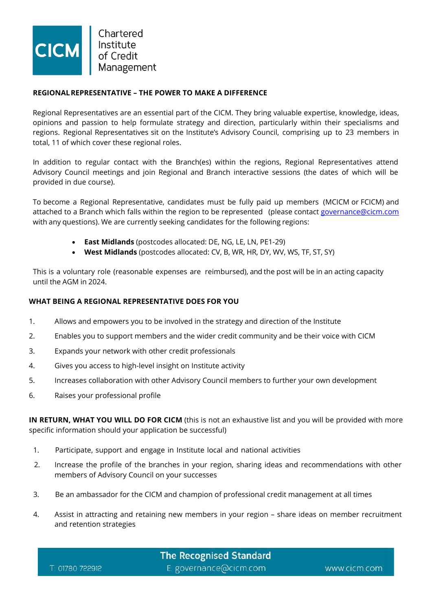

Chartered Institute of Credit Management

## **REGIONALREPRESENTATIVE – THE POWER TO MAKE A DIFFERENCE**

Regional Representatives are an essential part of the CICM. They bring valuable expertise, knowledge, ideas, opinions and passion to help formulate strategy and direction, particularly within their specialisms and regions. Regional Representatives sit on the Institute's Advisory Council, comprising up to 23 members in total, 11 of which cover these regional roles.

In addition to regular contact with the Branch(es) within the regions, Regional Representatives attend Advisory Council meetings and join Regional and Branch interactive sessions (the dates of which will be provided in due course).

To become a Regional Representative, candidates must be fully paid up members (MCICM or FCICM) and attached to a Branch which falls within the region to be represented (please contact [governance@cicm.com](mailto:governance@cicm.com) with any questions). We are currently seeking candidates for the following regions:

- **East Midlands** (postcodes allocated: DE, NG, LE, LN, PE1-29)
- **West Midlands** (postcodes allocated: CV, B, WR, HR, DY, WV, WS, TF, ST, SY)

This is a voluntary role (reasonable expenses are reimbursed), and the post will be in an acting capacity until the AGM in 2024.

## **WHAT BEING A REGIONAL REPRESENTATIVE DOES FOR YOU**

- 1. Allows and empowers you to be involved in the strategy and direction of the Institute
- 2. Enables you to support members and the wider credit community and be their voice with CICM
- 3. Expands your network with other credit professionals
- 4. Gives you access to high-level insight on Institute activity
- 5. Increases collaboration with other Advisory Council members to further your own development
- 6. Raises your professional profile

**IN RETURN, WHAT YOU WILL DO FOR CICM** (this is not an exhaustive list and you will be provided with more specific information should your application be successful)

- 1. Participate, support and engage in Institute local and national activities
- 2. Increase the profile of the branches in your region, sharing ideas and recommendations with other members of Advisory Council on your successes
- 3. Be an ambassador for the CICM and champion of professional credit management at all times
- 4. Assist in attracting and retaining new members in your region share ideas on member recruitment and retention strategies